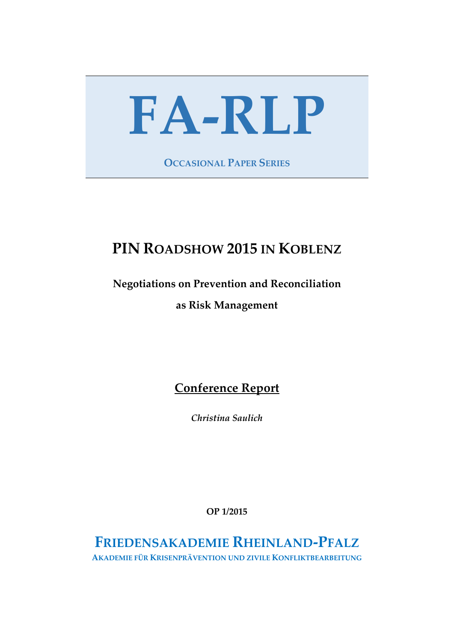# **FA-RLP**

**OCCASIONAL PAPER SERIES**

# **PIN ROADSHOW 2015 IN KOBLENZ**

## **Negotiations on Prevention and Reconciliation**

### **as Risk Management**

# **Conference Report**

*Christina Saulich*

**OP 1/2015**

# **FRIEDENSAKADEMIE RHEINLAND-PFALZ**

**AKADEMIE FÜR KRISENPRÄVENTION UND ZIVILE KONFLIKTBEARBEITUNG**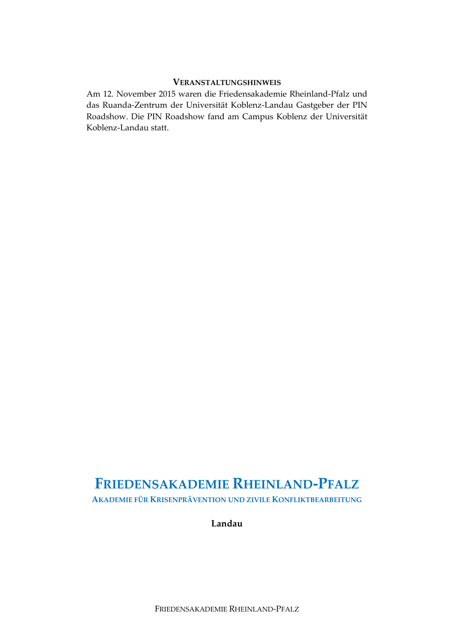#### **VERANSTALTUNGSHINWEIS**

Am 12. November 2015 waren die Friedensakademie Rheinland-Pfalz und das Ruanda-Zentrum der Universität Koblenz-Landau Gastgeber der PIN Roadshow. Die PIN Roadshow fand am Campus Koblenz der Universität Koblenz-Landau statt.

# **FRIEDENSAKADEMIE RHEINLAND-PFALZ**

**AKADEMIE FÜR KRISENPRÄVENTION UND ZIVILE KONFLIKTBEARBEITUNG**

**Landau**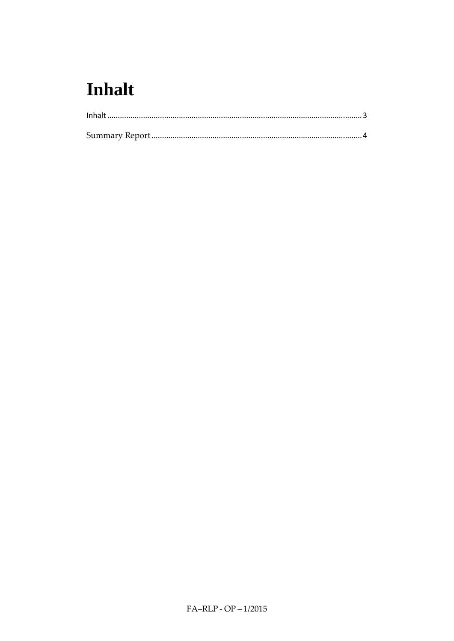# <span id="page-2-0"></span>**Inhalt**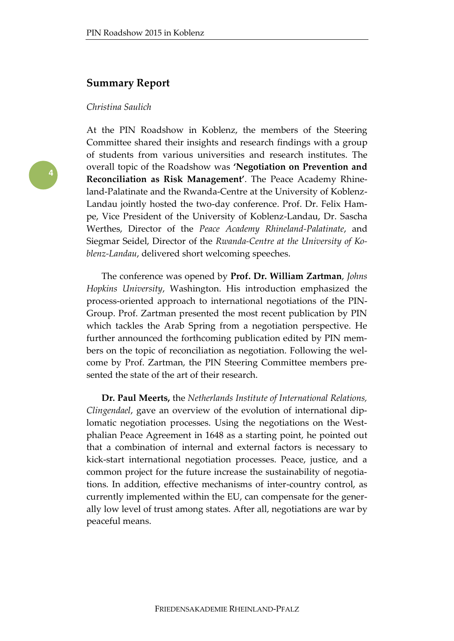#### <span id="page-3-0"></span>**Summary Report**

#### *Christina Saulich*



At the PIN Roadshow in Koblenz, the members of the Steering Committee shared their insights and research findings with a group of students from various universities and research institutes. The overall topic of the Roadshow was **'Negotiation on Prevention and Reconciliation as Risk Management'**. The Peace Academy Rhineland-Palatinate and the Rwanda-Centre at the University of Koblenz-Landau jointly hosted the two-day conference. Prof. Dr. Felix Hampe, Vice President of the University of Koblenz-Landau, Dr. Sascha Werthes, Director of the *Peace Academy Rhineland-Palatinate*, and Siegmar Seidel, Director of the *Rwanda-Centre at the University of Koblenz-Landau*, delivered short welcoming speeches.

The conference was opened by **Prof. Dr. William Zartman**, *Johns Hopkins University*, Washington. His introduction emphasized the process-oriented approach to international negotiations of the PIN-Group. Prof. Zartman presented the most recent publication by PIN which tackles the Arab Spring from a negotiation perspective. He further announced the forthcoming publication edited by PIN members on the topic of reconciliation as negotiation. Following the welcome by Prof. Zartman, the PIN Steering Committee members presented the state of the art of their research.

**Dr. Paul Meerts,** the *Netherlands Institute of International Relations, Clingendael*, gave an overview of the evolution of international diplomatic negotiation processes. Using the negotiations on the Westphalian Peace Agreement in 1648 as a starting point, he pointed out that a combination of internal and external factors is necessary to kick-start international negotiation processes. Peace, justice, and a common project for the future increase the sustainability of negotiations. In addition, effective mechanisms of inter-country control, as currently implemented within the EU, can compensate for the generally low level of trust among states. After all, negotiations are war by peaceful means.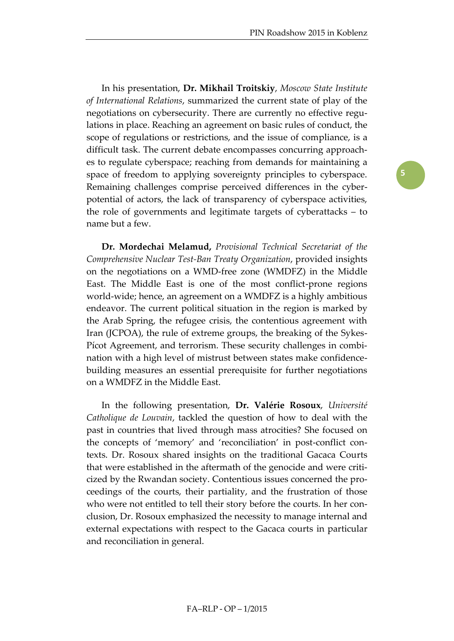In his presentation, **Dr. Mikhail Troitskiy**, *Moscow State Institute of International Relations*, summarized the current state of play of the negotiations on cybersecurity. There are currently no effective regulations in place. Reaching an agreement on basic rules of conduct, the scope of regulations or restrictions, and the issue of compliance, is a difficult task. The current debate encompasses concurring approaches to regulate cyberspace; reaching from demands for maintaining a space of freedom to applying sovereignty principles to cyberspace. Remaining challenges comprise perceived differences in the cyberpotential of actors, the lack of transparency of cyberspace activities, the role of governments and legitimate targets of cyberattacks – to name but a few.

**Dr. Mordechai Melamud,** *Provisional Technical Secretariat of the Comprehensive Nuclear Test-Ban Treaty Organization*, provided insights on the negotiations on a WMD-free zone (WMDFZ) in the Middle East. The Middle East is one of the most conflict-prone regions world-wide; hence, an agreement on a WMDFZ is a highly ambitious endeavor. The current political situation in the region is marked by the Arab Spring, the refugee crisis, the contentious agreement with Iran (JCPOA), the rule of extreme groups, the breaking of the Sykes-Pícot Agreement, and terrorism. These security challenges in combination with a high level of mistrust between states make confidencebuilding measures an essential prerequisite for further negotiations on a WMDFZ in the Middle East.

In the following presentation, **Dr. Valérie Rosoux**, *Université Catholique de Louvain*, tackled the question of how to deal with the past in countries that lived through mass atrocities? She focused on the concepts of 'memory' and 'reconciliation' in post-conflict contexts. Dr. Rosoux shared insights on the traditional Gacaca Courts that were established in the aftermath of the genocide and were criticized by the Rwandan society. Contentious issues concerned the proceedings of the courts, their partiality, and the frustration of those who were not entitled to tell their story before the courts. In her conclusion, Dr. Rosoux emphasized the necessity to manage internal and external expectations with respect to the Gacaca courts in particular and reconciliation in general.

**5**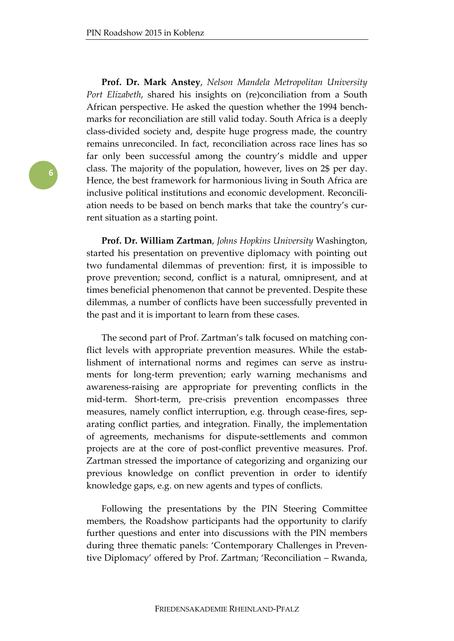**Prof. Dr. Mark Anstey**, *Nelson Mandela Metropolitan University Port Elizabeth*, shared his insights on (re)conciliation from a South African perspective. He asked the question whether the 1994 benchmarks for reconciliation are still valid today. South Africa is a deeply class-divided society and, despite huge progress made, the country remains unreconciled. In fact, reconciliation across race lines has so far only been successful among the country's middle and upper class. The majority of the population, however, lives on 2\$ per day. Hence, the best framework for harmonious living in South Africa are inclusive political institutions and economic development. Reconciliation needs to be based on bench marks that take the country's current situation as a starting point.

**Prof. Dr. William Zartman**, *Johns Hopkins University* Washington, started his presentation on preventive diplomacy with pointing out two fundamental dilemmas of prevention: first, it is impossible to prove prevention; second, conflict is a natural, omnipresent, and at times beneficial phenomenon that cannot be prevented. Despite these dilemmas, a number of conflicts have been successfully prevented in the past and it is important to learn from these cases.

The second part of Prof. Zartman's talk focused on matching conflict levels with appropriate prevention measures. While the establishment of international norms and regimes can serve as instruments for long-term prevention; early warning mechanisms and awareness-raising are appropriate for preventing conflicts in the mid-term. Short-term, pre-crisis prevention encompasses three measures, namely conflict interruption, e.g. through cease-fires, separating conflict parties, and integration. Finally, the implementation of agreements, mechanisms for dispute-settlements and common projects are at the core of post-conflict preventive measures. Prof. Zartman stressed the importance of categorizing and organizing our previous knowledge on conflict prevention in order to identify knowledge gaps, e.g. on new agents and types of conflicts.

Following the presentations by the PIN Steering Committee members, the Roadshow participants had the opportunity to clarify further questions and enter into discussions with the PIN members during three thematic panels: 'Contemporary Challenges in Preventive Diplomacy' offered by Prof. Zartman; 'Reconciliation – Rwanda,

**6**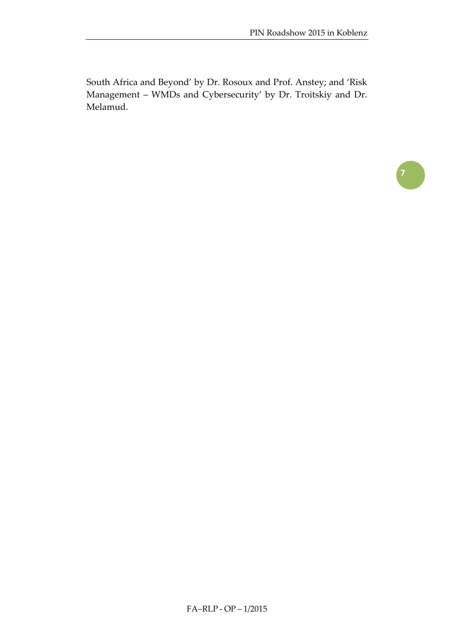South Africa and Beyond' by Dr. Rosoux and Prof. Anstey; and 'Risk Management – WMDs and Cybersecurity' by Dr. Troitskiy and Dr. Melamud.